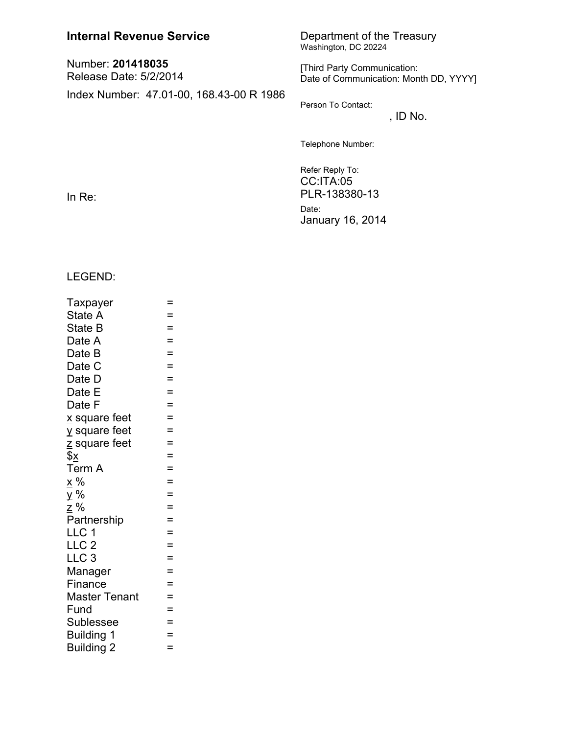| <b>Internal Revenue Service</b>             | Department of the Treasury<br>Washington, DC 20224<br>[Third Party Communication:<br>Date of Communication: Month DD, YYYY] |  |  |  |
|---------------------------------------------|-----------------------------------------------------------------------------------------------------------------------------|--|--|--|
| Number: 201418035<br>Release Date: 5/2/2014 |                                                                                                                             |  |  |  |
| Index Number: 47.01-00, 168.43-00 R 1986    | Person To Contact:<br>, ID No.                                                                                              |  |  |  |
|                                             | Telephone Number:                                                                                                           |  |  |  |
| In $Re:$                                    | Refer Reply To:<br>$CC$ : ITA: $05$<br>PLR-138380-13<br>Date:                                                               |  |  |  |

January 16, 2014

LEGEND:

| Taxpayer                  | =        |
|---------------------------|----------|
| State A                   | $=$      |
| State B                   | $=$      |
| Date A                    | $=$      |
| Date B                    | $\equiv$ |
| Date C                    | $=$      |
| Date D                    | $=$      |
| Date E                    | $=$      |
| Date F                    | $=$      |
| x square feet             | $=$      |
| y square feet             | $=$      |
| z square feet             | $=$      |
| $\frac{3}{2}$             | $=$      |
| Term A                    | $=$      |
| <u>x</u> %                | $=$      |
| y%                        | $=$      |
| <u>z</u> %<br>Partnership | $=$      |
|                           | $=$      |
| LLC 1                     | $=$      |
| LLC <sub>2</sub>          | $=$      |
| LLC <sub>3</sub>          | $=$      |
| Manager                   | $=$      |
| Finance                   | $=$      |
| <b>Master Tenant</b>      | $=$      |
| Fund                      | $=$      |
| Sublessee                 | $=$      |
| <b>Building 1</b>         | $\equiv$ |
| <b>Building 2</b>         | $=$      |
|                           |          |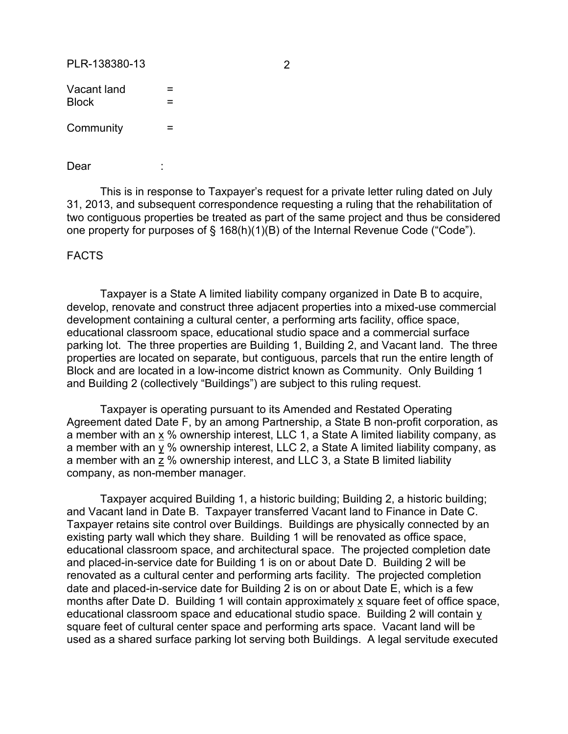PLR-138380-13 2

| Vacant land<br><b>Block</b> | $=$<br>$=$ |  |  |  |
|-----------------------------|------------|--|--|--|
| Community                   | $=$        |  |  |  |

Dear :

This is in response to Taxpayer's request for a private letter ruling dated on July 31, 2013, and subsequent correspondence requesting a ruling that the rehabilitation of two contiguous properties be treated as part of the same project and thus be considered one property for purposes of § 168(h)(1)(B) of the Internal Revenue Code ("Code").

FACTS

Taxpayer is a State A limited liability company organized in Date B to acquire, develop, renovate and construct three adjacent properties into a mixed-use commercial development containing a cultural center, a performing arts facility, office space, educational classroom space, educational studio space and a commercial surface parking lot. The three properties are Building 1, Building 2, and Vacant land. The three properties are located on separate, but contiguous, parcels that run the entire length of Block and are located in a low-income district known as Community. Only Building 1 and Building 2 (collectively "Buildings") are subject to this ruling request.

Taxpayer is operating pursuant to its Amended and Restated Operating Agreement dated Date F, by an among Partnership, a State B non-profit corporation, as a member with an  $\underline{x}$  % ownership interest, LLC 1, a State A limited liability company, as a member with an y % ownership interest, LLC 2, a State A limited liability company, as a member with an z % ownership interest, and LLC 3, a State B limited liability company, as non-member manager.

Taxpayer acquired Building 1, a historic building; Building 2, a historic building; and Vacant land in Date B. Taxpayer transferred Vacant land to Finance in Date C. Taxpayer retains site control over Buildings. Buildings are physically connected by an existing party wall which they share. Building 1 will be renovated as office space, educational classroom space, and architectural space. The projected completion date and placed-in-service date for Building 1 is on or about Date D. Building 2 will be renovated as a cultural center and performing arts facility. The projected completion date and placed-in-service date for Building 2 is on or about Date E, which is a few months after Date D. Building 1 will contain approximately x square feet of office space, educational classroom space and educational studio space. Building 2 will contain y square feet of cultural center space and performing arts space. Vacant land will be used as a shared surface parking lot serving both Buildings. A legal servitude executed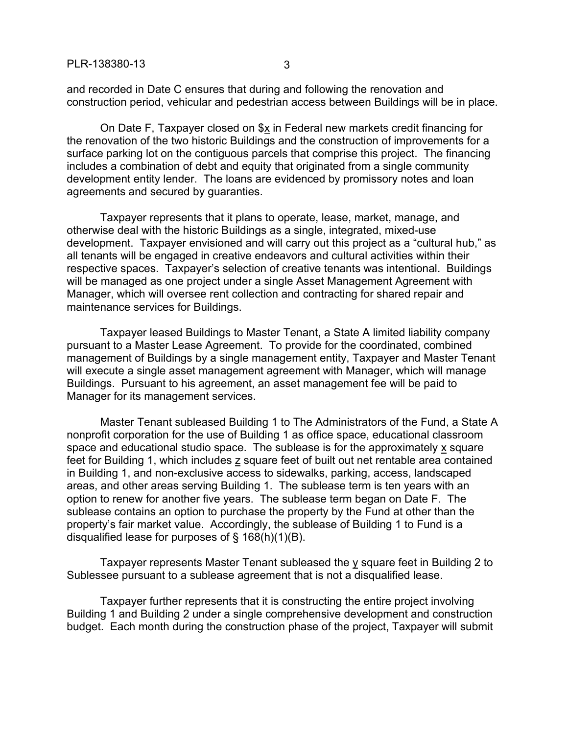and recorded in Date C ensures that during and following the renovation and construction period, vehicular and pedestrian access between Buildings will be in place.

On Date F, Taxpayer closed on \$x in Federal new markets credit financing for the renovation of the two historic Buildings and the construction of improvements for a surface parking lot on the contiguous parcels that comprise this project. The financing includes a combination of debt and equity that originated from a single community development entity lender. The loans are evidenced by promissory notes and loan agreements and secured by guaranties.

Taxpayer represents that it plans to operate, lease, market, manage, and otherwise deal with the historic Buildings as a single, integrated, mixed-use development. Taxpayer envisioned and will carry out this project as a "cultural hub," as all tenants will be engaged in creative endeavors and cultural activities within their respective spaces. Taxpayer's selection of creative tenants was intentional. Buildings will be managed as one project under a single Asset Management Agreement with Manager, which will oversee rent collection and contracting for shared repair and maintenance services for Buildings.

Taxpayer leased Buildings to Master Tenant, a State A limited liability company pursuant to a Master Lease Agreement. To provide for the coordinated, combined management of Buildings by a single management entity, Taxpayer and Master Tenant will execute a single asset management agreement with Manager, which will manage Buildings. Pursuant to his agreement, an asset management fee will be paid to Manager for its management services.

Master Tenant subleased Building 1 to The Administrators of the Fund, a State A nonprofit corporation for the use of Building 1 as office space, educational classroom space and educational studio space. The sublease is for the approximately x square feet for Building 1, which includes z square feet of built out net rentable area contained in Building 1, and non-exclusive access to sidewalks, parking, access, landscaped areas, and other areas serving Building 1. The sublease term is ten years with an option to renew for another five years. The sublease term began on Date F. The sublease contains an option to purchase the property by the Fund at other than the property's fair market value. Accordingly, the sublease of Building 1 to Fund is a disqualified lease for purposes of § 168(h)(1)(B).

Taxpayer represents Master Tenant subleased the y square feet in Building 2 to Sublessee pursuant to a sublease agreement that is not a disqualified lease.

Taxpayer further represents that it is constructing the entire project involving Building 1 and Building 2 under a single comprehensive development and construction budget. Each month during the construction phase of the project, Taxpayer will submit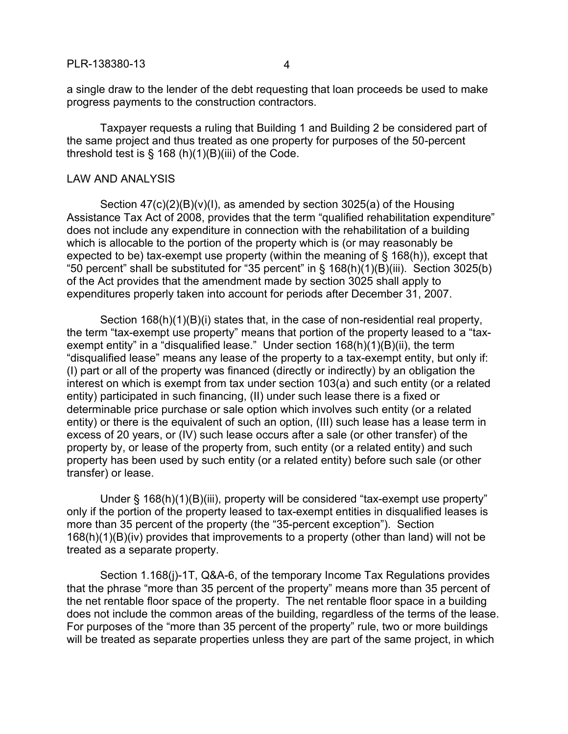a single draw to the lender of the debt requesting that loan proceeds be used to make progress payments to the construction contractors.

Taxpayer requests a ruling that Building 1 and Building 2 be considered part of the same project and thus treated as one property for purposes of the 50-percent threshold test is  $\S$  168 (h)(1)(B)(iii) of the Code.

## LAW AND ANALYSIS

Section  $47(c)(2)(B)(v)(I)$ , as amended by section 3025(a) of the Housing Assistance Tax Act of 2008, provides that the term "qualified rehabilitation expenditure" does not include any expenditure in connection with the rehabilitation of a building which is allocable to the portion of the property which is (or may reasonably be expected to be) tax-exempt use property (within the meaning of § 168(h)), except that "50 percent" shall be substituted for "35 percent" in  $\S$  168(h)(1)(B)(iii). Section 3025(b) of the Act provides that the amendment made by section 3025 shall apply to expenditures properly taken into account for periods after December 31, 2007.

Section 168(h)(1)(B)(i) states that, in the case of non-residential real property, the term "tax-exempt use property" means that portion of the property leased to a "taxexempt entity" in a "disqualified lease." Under section 168(h)(1)(B)(ii), the term "disqualified lease" means any lease of the property to a tax-exempt entity, but only if: (I) part or all of the property was financed (directly or indirectly) by an obligation the interest on which is exempt from tax under section 103(a) and such entity (or a related entity) participated in such financing, (II) under such lease there is a fixed or determinable price purchase or sale option which involves such entity (or a related entity) or there is the equivalent of such an option, (III) such lease has a lease term in excess of 20 years, or (IV) such lease occurs after a sale (or other transfer) of the property by, or lease of the property from, such entity (or a related entity) and such property has been used by such entity (or a related entity) before such sale (or other transfer) or lease.

Under § 168(h)(1)(B)(iii), property will be considered "tax-exempt use property" only if the portion of the property leased to tax-exempt entities in disqualified leases is more than 35 percent of the property (the "35-percent exception"). Section 168(h)(1)(B)(iv) provides that improvements to a property (other than land) will not be treated as a separate property.

Section 1.168(j)-1T, Q&A-6, of the temporary Income Tax Regulations provides that the phrase "more than 35 percent of the property" means more than 35 percent of the net rentable floor space of the property. The net rentable floor space in a building does not include the common areas of the building, regardless of the terms of the lease. For purposes of the "more than 35 percent of the property" rule, two or more buildings will be treated as separate properties unless they are part of the same project, in which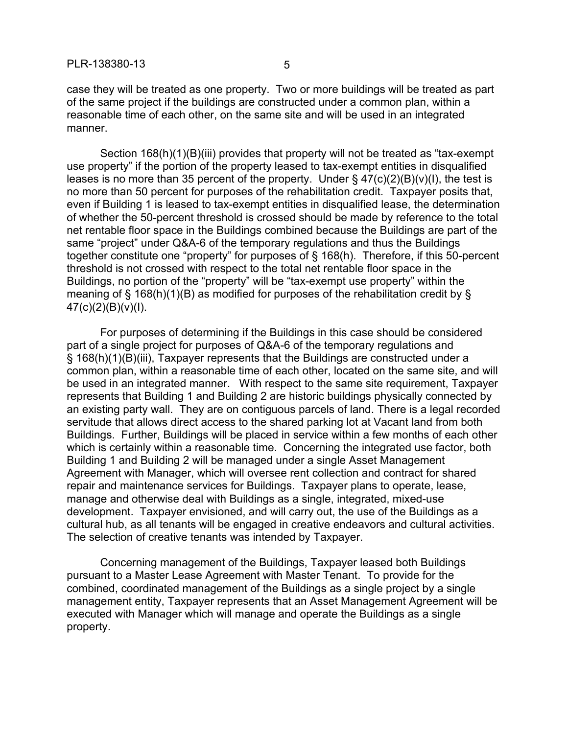case they will be treated as one property. Two or more buildings will be treated as part of the same project if the buildings are constructed under a common plan, within a reasonable time of each other, on the same site and will be used in an integrated manner.

Section 168(h)(1)(B)(iii) provides that property will not be treated as "tax-exempt use property" if the portion of the property leased to tax-exempt entities in disqualified leases is no more than 35 percent of the property. Under  $\S$  47(c)(2)(B)(v)(I), the test is no more than 50 percent for purposes of the rehabilitation credit. Taxpayer posits that, even if Building 1 is leased to tax-exempt entities in disqualified lease, the determination of whether the 50-percent threshold is crossed should be made by reference to the total net rentable floor space in the Buildings combined because the Buildings are part of the same "project" under Q&A-6 of the temporary regulations and thus the Buildings together constitute one "property" for purposes of § 168(h). Therefore, if this 50-percent threshold is not crossed with respect to the total net rentable floor space in the Buildings, no portion of the "property" will be "tax-exempt use property" within the meaning of § 168(h)(1)(B) as modified for purposes of the rehabilitation credit by §  $47(c)(2)(B)(v)(1)$ .

For purposes of determining if the Buildings in this case should be considered part of a single project for purposes of Q&A-6 of the temporary regulations and § 168(h)(1)(B)(iii), Taxpayer represents that the Buildings are constructed under a common plan, within a reasonable time of each other, located on the same site, and will be used in an integrated manner. With respect to the same site requirement, Taxpayer represents that Building 1 and Building 2 are historic buildings physically connected by an existing party wall. They are on contiguous parcels of land. There is a legal recorded servitude that allows direct access to the shared parking lot at Vacant land from both Buildings. Further, Buildings will be placed in service within a few months of each other which is certainly within a reasonable time. Concerning the integrated use factor, both Building 1 and Building 2 will be managed under a single Asset Management Agreement with Manager, which will oversee rent collection and contract for shared repair and maintenance services for Buildings. Taxpayer plans to operate, lease, manage and otherwise deal with Buildings as a single, integrated, mixed-use development. Taxpayer envisioned, and will carry out, the use of the Buildings as a cultural hub, as all tenants will be engaged in creative endeavors and cultural activities. The selection of creative tenants was intended by Taxpayer.

Concerning management of the Buildings, Taxpayer leased both Buildings pursuant to a Master Lease Agreement with Master Tenant. To provide for the combined, coordinated management of the Buildings as a single project by a single management entity, Taxpayer represents that an Asset Management Agreement will be executed with Manager which will manage and operate the Buildings as a single property.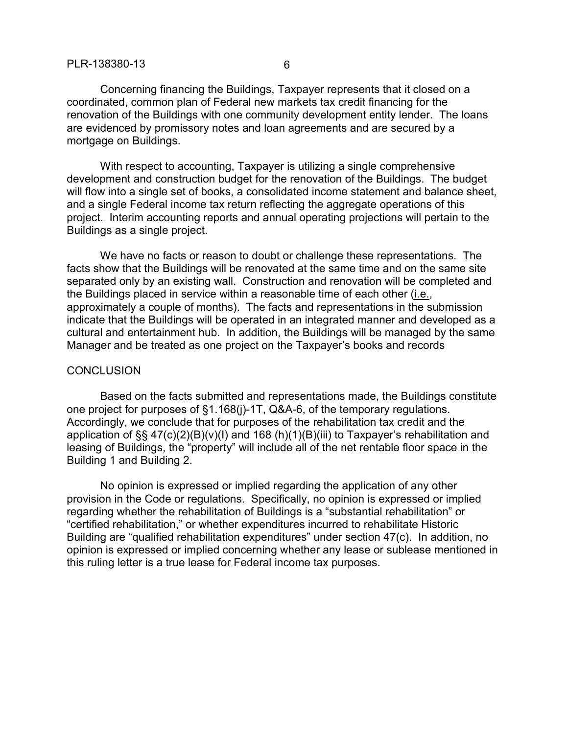Concerning financing the Buildings, Taxpayer represents that it closed on a coordinated, common plan of Federal new markets tax credit financing for the renovation of the Buildings with one community development entity lender. The loans are evidenced by promissory notes and loan agreements and are secured by a mortgage on Buildings.

With respect to accounting, Taxpayer is utilizing a single comprehensive development and construction budget for the renovation of the Buildings. The budget will flow into a single set of books, a consolidated income statement and balance sheet, and a single Federal income tax return reflecting the aggregate operations of this project. Interim accounting reports and annual operating projections will pertain to the Buildings as a single project.

We have no facts or reason to doubt or challenge these representations. The facts show that the Buildings will be renovated at the same time and on the same site separated only by an existing wall. Construction and renovation will be completed and the Buildings placed in service within a reasonable time of each other (i.e., approximately a couple of months). The facts and representations in the submission indicate that the Buildings will be operated in an integrated manner and developed as a cultural and entertainment hub. In addition, the Buildings will be managed by the same Manager and be treated as one project on the Taxpayer's books and records

## **CONCLUSION**

Based on the facts submitted and representations made, the Buildings constitute one project for purposes of §1.168(j)-1T, Q&A-6, of the temporary regulations. Accordingly, we conclude that for purposes of the rehabilitation tax credit and the application of §§ 47(c)(2)(B)(v)(I) and 168 (h)(1)(B)(iii) to Taxpayer's rehabilitation and leasing of Buildings, the "property" will include all of the net rentable floor space in the Building 1 and Building 2.

No opinion is expressed or implied regarding the application of any other provision in the Code or regulations. Specifically, no opinion is expressed or implied regarding whether the rehabilitation of Buildings is a "substantial rehabilitation" or "certified rehabilitation," or whether expenditures incurred to rehabilitate Historic Building are "qualified rehabilitation expenditures" under section 47(c). In addition, no opinion is expressed or implied concerning whether any lease or sublease mentioned in this ruling letter is a true lease for Federal income tax purposes.